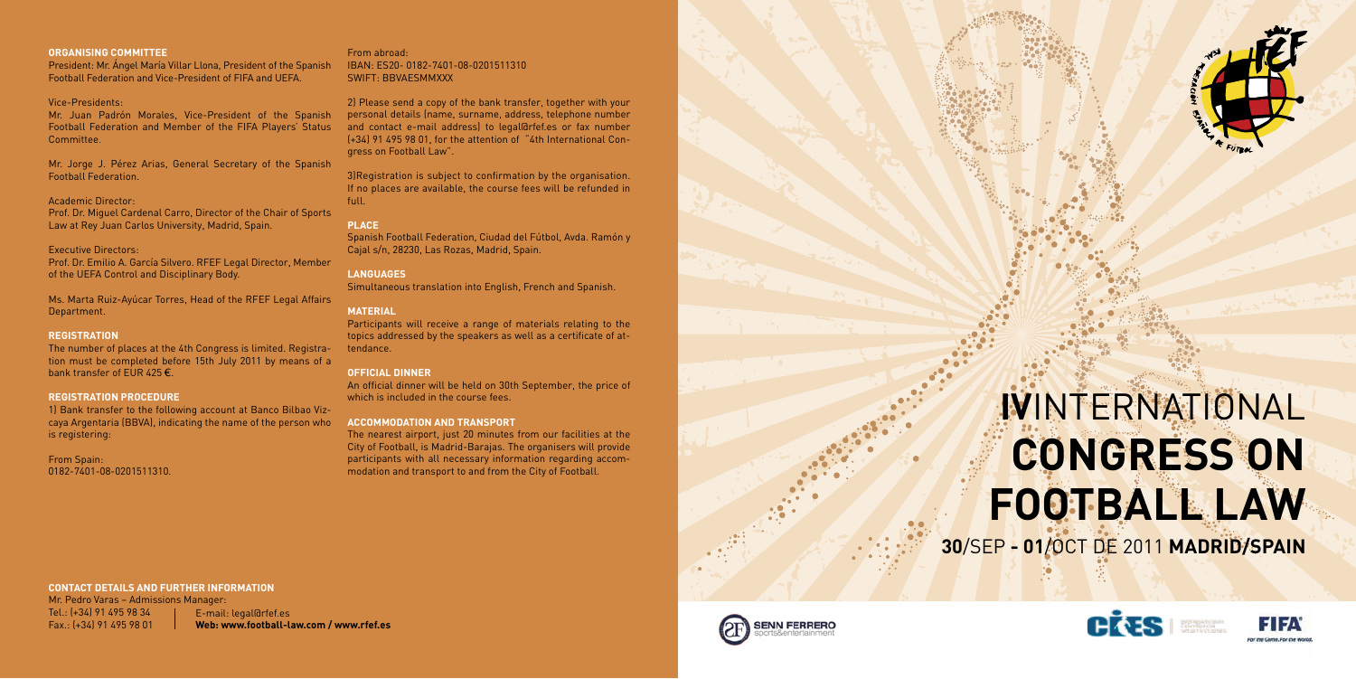## **IV**INTERNATIONAL **CONGRESS ON FOOTBALL LAW 30**/SEP **- 01**/OCT DE 2011 **MADRID/SPAIN**





## **ORGANISING COMMITTEE**

President: Mr. Ángel María Villar Llona, President of the Spanish Football Federation and Vice-President of FIFA and UEFA.

## Vice-Presidents:

Mr. Juan Padrón Morales, Vice-President of the Spanish Football Federation and Member of the FIFA Players' Status Committee.

The number of places at the 4th Congress is limited. Registration must be completed before 15th July 2011 by means of a bank transfer of EUR 425 $\epsilon$ .

Mr. Jorge J. Pérez Arias, General Secretary of the Spanish Football Federation.

### Academic Director:

Prof. Dr. Miguel Cardenal Carro, Director of the Chair of Sports Law at Rey Juan Carlos University, Madrid, Spain.

## Executive Directors:

Prof. Dr. Emilio A. García Silvero. RFEF Legal Director, Member of the UEFA Control and Disciplinary Body.

Ms. Marta Ruiz-Ayúcar Torres, Head of the RFEF Legal Affairs Department.

## **REGISTRATION**

## **Registration procedure**

1) Bank transfer to the following account at Banco Bilbao Vizcaya Argentaria (BBVA), indicating the name of the person who is registering:

## From Spain: 0182-7401-08-0201511310.

## From abroad: IBAN: ES20- 0182-7401-08-0201511310 SWIFT: BBVAESMMXXX

2) Please send a copy of the bank transfer, together with your personal details (name, surname, address, telephone number and contact e-mail address) to legal@rfef.es or fax number (+34) 91 495 98 01, for the attention of "4th International Congress on Football Law".

3)Registration is subject to confirmation by the organisation. If no places are available, the course fees will be refunded in full.

## **PLACE**

Spanish Football Federation, Ciudad del Fútbol, Avda. Ramón y Cajal s/n, 28230, Las Rozas, Madrid, Spain.

## **LANGUAGES**

Simultaneous translation into English, French and Spanish.

## **MATERIAL**

Participants will receive a range of materials relating to the topics addressed by the speakers as well as a certificate of attendance.

## **OFFICIAL DINNER**

An official dinner will be held on 30th September, the price of which is included in the course fees.

## **ACCOMMODATION AND TRANSPORT**

The nearest airport, just 20 minutes from our facilities at the City of Football, is Madrid-Barajas. The organisers will provide participants with all necessary information regarding accommodation and transport to and from the City of Football.

## **CONTACT DETAILS AND FURTHER INFORMATION**

Mr. Pedro Varas – Admissions Manager: Tel.: (+34) 91 495 98 34 Fax.: (+34) 91 495 98 01

E-mail: legal@rfef.es **Web: www.football-law.com / www.rfef.es**